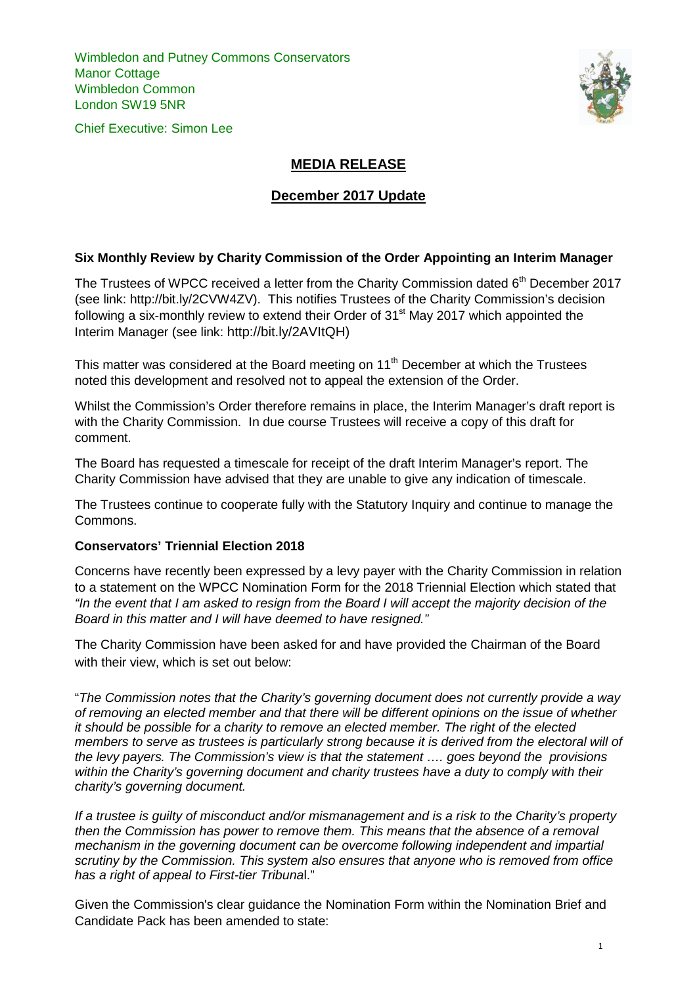Wimbledon and Putney Commons Conservators Manor Cottage Wimbledon Common London SW19 5NR





## **MEDIA RELEASE**

## **December 2017 Update**

## **Six Monthly Review by Charity Commission of the Order Appointing an Interim Manager**

The Trustees of WPCC received a letter from the Charity Commission dated  $6<sup>th</sup>$  December 2017 (see link: http://bit.ly/2CVW4ZV). This notifies Trustees of the Charity Commission's decision following a six-monthly review to extend their Order of  $31<sup>st</sup>$  May 2017 which appointed the Interim Manager (see link: http://bit.ly/2AVItQH)

This matter was considered at the Board meeting on  $11<sup>th</sup>$  December at which the Trustees noted this development and resolved not to appeal the extension of the Order.

Whilst the Commission's Order therefore remains in place, the Interim Manager's draft report is with the Charity Commission. In due course Trustees will receive a copy of this draft for comment.

The Board has requested a timescale for receipt of the draft Interim Manager's report. The Charity Commission have advised that they are unable to give any indication of timescale.

The Trustees continue to cooperate fully with the Statutory Inquiry and continue to manage the Commons.

## **Conservators' Triennial Election 2018**

Concerns have recently been expressed by a levy payer with the Charity Commission in relation to a statement on the WPCC Nomination Form for the 2018 Triennial Election which stated that *"In the event that I am asked to resign from the Board I will accept the majority decision of the Board in this matter and I will have deemed to have resigned."*

The Charity Commission have been asked for and have provided the Chairman of the Board with their view, which is set out below:

"*The Commission notes that the Charity's governing document does not currently provide a way of removing an elected member and that there will be different opinions on the issue of whether it should be possible for a charity to remove an elected member. The right of the elected members to serve as trustees is particularly strong because it is derived from the electoral will of the levy payers. The Commission's view is that the statement …. goes beyond the provisions within the Charity's governing document and charity trustees have a duty to comply with their charity's governing document.* 

*If a trustee is guilty of misconduct and/or mismanagement and is a risk to the Charity's property then the Commission has power to remove them. This means that the absence of a removal mechanism in the governing document can be overcome following independent and impartial scrutiny by the Commission. This system also ensures that anyone who is removed from office has a right of appeal to First-tier Tribuna*l."

Given the Commission's clear guidance the Nomination Form within the Nomination Brief and Candidate Pack has been amended to state: